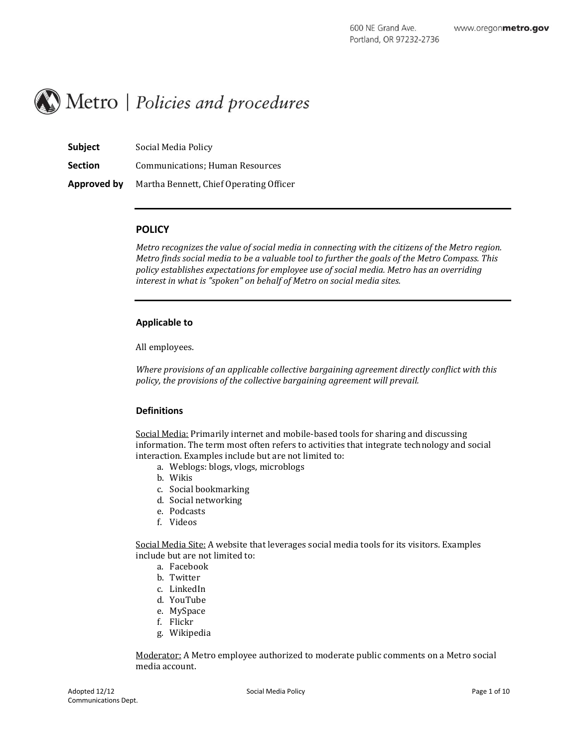

| Subject        | Social Media Policy                     |
|----------------|-----------------------------------------|
| <b>Section</b> | <b>Communications: Human Resources</b>  |
| Approved by    | Martha Bennett, Chief Operating Officer |

### **POLICY**

*Metro recognizes the value of social media in connecting with the citizens of the Metro region. Metro finds social media to be a valuable tool to further the goals of the Metro Compass. This policy establishes expectations for employee use of social media. Metro has an overriding interest in what is "spoken" on behalf of Metro on social media sites.*

#### **Applicable to**

All employees.

*Where provisions of an applicable collective bargaining agreement directly conflict with this policy, the provisions of the collective bargaining agreement will prevail.*

# **Definitions**

Social Media: Primarily internet and mobile-based tools for sharing and discussing information. The term most often refers to activities that integrate technology and social interaction. Examples include but are not limited to:

- a. Weblogs: blogs, vlogs, microblogs
- b. Wikis
- c. Social bookmarking
- d. Social networking
- e. Podcasts
- f. Videos

Social Media Site: A website that leverages social media tools for its visitors. Examples include but are not limited to:

- a. Facebook
- b. Twitter
- c. LinkedIn
- d. YouTube
- e. MySpace
- f. Flickr
- g. Wikipedia

Moderator: A Metro employee authorized to moderate public comments on a Metro social media account.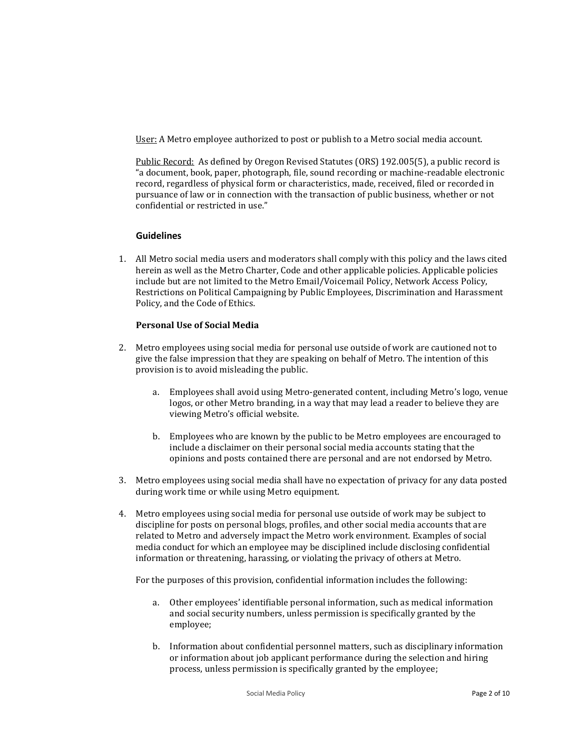User: A Metro employee authorized to post or publish to a Metro social media account.

Public Record: As defined by Oregon Revised Statutes (ORS) 192.005(5), a public record is "a document, book, paper, photograph, file, sound recording or machine-readable electronic record, regardless of physical form or characteristics, made, received, filed or recorded in pursuance of law or in connection with the transaction of public business, whether or not confidential or restricted in use."

# **Guidelines**

1. All Metro social media users and moderators shall comply with this policy and the laws cited herein as well as the Metro Charter, Code and other applicable policies. Applicable policies include but are not limited to the Metro Email/Voicemail Policy, Network Access Policy, Restrictions on Political Campaigning by Public Employees, Discrimination and Harassment Policy, and the Code of Ethics.

# **Personal Use of Social Media**

- 2. Metro employees using social media for personal use outside of work are cautioned not to give the false impression that they are speaking on behalf of Metro. The intention of this provision is to avoid misleading the public.
	- a. Employees shall avoid using Metro-generated content, including Metro's logo, venue logos, or other Metro branding, in a way that may lead a reader to believe they are viewing Metro's official website.
	- b. Employees who are known by the public to be Metro employees are encouraged to include a disclaimer on their personal social media accounts stating that the opinions and posts contained there are personal and are not endorsed by Metro.
- 3. Metro employees using social media shall have no expectation of privacy for any data posted during work time or while using Metro equipment.
- 4. Metro employees using social media for personal use outside of work may be subject to discipline for posts on personal blogs, profiles, and other social media accounts that are related to Metro and adversely impact the Metro work environment. Examples of social media conduct for which an employee may be disciplined include disclosing confidential information or threatening, harassing, or violating the privacy of others at Metro.

For the purposes of this provision, confidential information includes the following:

- a. Other employees' identifiable personal information, such as medical information and social security numbers, unless permission is specifically granted by the employee;
- b. Information about confidential personnel matters, such as disciplinary information or information about job applicant performance during the selection and hiring process, unless permission is specifically granted by the employee;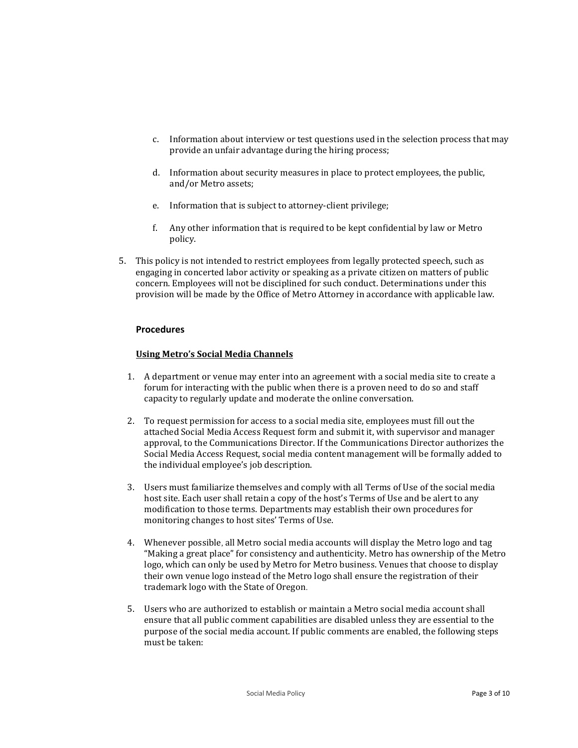- c. Information about interview or test questions used in the selection process that may provide an unfair advantage during the hiring process;
- d. Information about security measures in place to protect employees, the public, and/or Metro assets;
- e. Information that is subject to attorney-client privilege;
- f. Any other information that is required to be kept confidential by law or Metro policy.
- 5. This policy is not intended to restrict employees from legally protected speech, such as engaging in concerted labor activity or speaking as a private citizen on matters of public concern. Employees will not be disciplined for such conduct. Determinations under this provision will be made by the Office of Metro Attorney in accordance with applicable law.

# **Procedures**

## **Using Metro's Social Media Channels**

- 1. A department or venue may enter into an agreement with a social media site to create a forum for interacting with the public when there is a proven need to do so and staff capacity to regularly update and moderate the online conversation.
- 2. To request permission for access to a social media site, employees must fill out the attached Social Media Access Request form and submit it, with supervisor and manager approval, to the Communications Director. If the Communications Director authorizes the Social Media Access Request, social media content management will be formally added to the individual employee's job description.
- 3. Users must familiarize themselves and comply with all Terms of Use of the social media host site. Each user shall retain a copy of the host's Terms of Use and be alert to any modification to those terms. Departments may establish their own procedures for monitoring changes to host sites' Terms of Use.
- 4. Whenever possible, all Metro social media accounts will display the Metro logo and tag "Making a great place" for consistency and authenticity. Metro has ownership of the Metro logo, which can only be used by Metro for Metro business. Venues that choose to display their own venue logo instead of the Metro logo shall ensure the registration of their trademark logo with the State of Oregon.
- 5. Users who are authorized to establish or maintain a Metro social media account shall ensure that all public comment capabilities are disabled unless they are essential to the purpose of the social media account. If public comments are enabled, the following steps must be taken: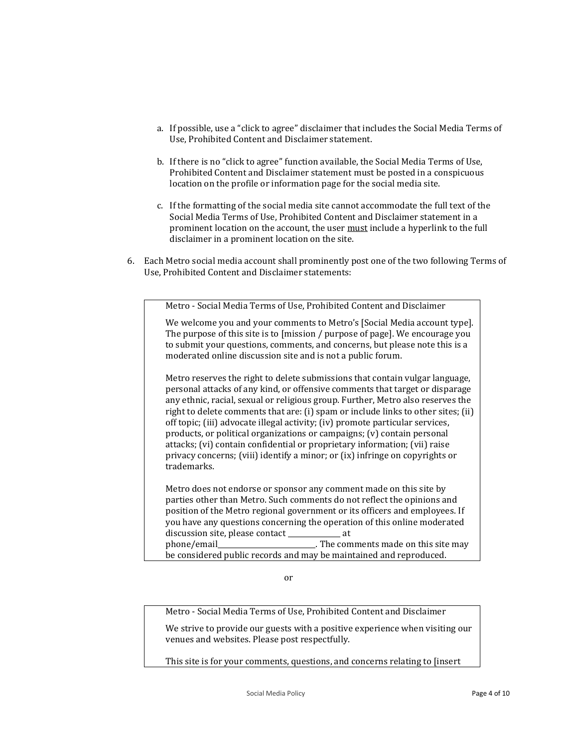- a. If possible, use a "click to agree" disclaimer that includes the Social Media Terms of Use, Prohibited Content and Disclaimer statement.
- b. If there is no "click to agree" function available, the Social Media Terms of Use, Prohibited Content and Disclaimer statement must be posted in a conspicuous location on the profile or information page for the social media site.
- c. If the formatting of the social media site cannot accommodate the full text of the Social Media Terms of Use, Prohibited Content and Disclaimer statement in a prominent location on the account, the user must include a hyperlink to the full disclaimer in a prominent location on the site.
- 6. Each Metro social media account shall prominently post one of the two following Terms of Use, Prohibited Content and Disclaimer statements:

Metro - Social Media Terms of Use, Prohibited Content and Disclaimer We welcome you and your comments to Metro's [Social Media account type]. The purpose of this site is to [mission / purpose of page]. We encourage you to submit your questions, comments, and concerns, but please note this is a moderated online discussion site and is not a public forum. Metro reserves the right to delete submissions that contain vulgar language, personal attacks of any kind, or offensive comments that target or disparage

any ethnic, racial, sexual or religious group. Further, Metro also reserves the right to delete comments that are: (i) spam or include links to other sites; (ii) off topic; (iii) advocate illegal activity; (iv) promote particular services, products, or political organizations or campaigns; (v) contain personal attacks; (vi) contain confidential or proprietary information; (vii) raise privacy concerns; (viii) identify a minor; or (ix) infringe on copyrights or trademarks.

Metro does not endorse or sponsor any comment made on this site by parties other than Metro. Such comments do not reflect the opinions and position of the Metro regional government or its officers and employees. If you have any questions concerning the operation of this online moderated discussion site, please contact \_\_\_\_\_\_\_\_\_\_\_\_\_\_\_\_\_ at phone/email\_\_\_\_\_\_\_\_\_\_\_\_\_\_\_\_\_\_\_\_\_\_\_\_\_\_\_\_. The comments made on this site may be considered public records and may be maintained and reproduced.

or

Metro - Social Media Terms of Use, Prohibited Content and Disclaimer

We strive to provide our guests with a positive experience when visiting our venues and websites. Please post respectfully.

This site is for your comments, questions, and concerns relating to [insert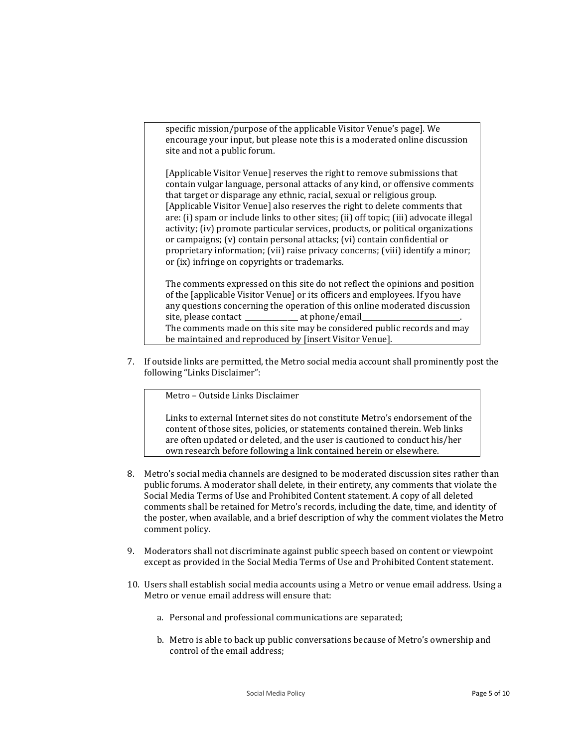specific mission/purpose of the applicable Visitor Venue's page]. We encourage your input, but please note this is a moderated online discussion site and not a public forum.

[Applicable Visitor Venue] reserves the right to remove submissions that contain vulgar language, personal attacks of any kind, or offensive comments that target or disparage any ethnic, racial, sexual or religious group. [Applicable Visitor Venue] also reserves the right to delete comments that are: (i) spam or include links to other sites; (ii) off topic; (iii) advocate illegal activity; (iv) promote particular services, products, or political organizations or campaigns; (v) contain personal attacks; (vi) contain confidential or proprietary information; (vii) raise privacy concerns; (viii) identify a minor; or (ix) infringe on copyrights or trademarks.

The comments expressed on this site do not reflect the opinions and position of the [applicable Visitor Venue] or its officers and employees. If you have any questions concerning the operation of this online moderated discussion site, please contact \_\_\_\_\_\_\_\_\_\_\_\_\_\_\_\_\_\_\_ at phone/email\_ The comments made on this site may be considered public records and may be maintained and reproduced by [insert Visitor Venue].

7. If outside links are permitted, the Metro social media account shall prominently post the following "Links Disclaimer":

Metro – Outside Links Disclaimer

Links to external Internet sites do not constitute Metro's endorsement of the content of those sites, policies, or statements contained therein. Web links are often updated or deleted, and the user is cautioned to conduct his/her own research before following a link contained herein or elsewhere.

- 8. Metro's social media channels are designed to be moderated discussion sites rather than public forums. A moderator shall delete, in their entirety, any comments that violate the Social Media Terms of Use and Prohibited Content statement. A copy of all deleted comments shall be retained for Metro's records, including the date, time, and identity of the poster, when available, and a brief description of why the comment violates the Metro comment policy.
- 9. Moderators shall not discriminate against public speech based on content or viewpoint except as provided in the Social Media Terms of Use and Prohibited Content statement.
- 10. Users shall establish social media accounts using a Metro or venue email address. Using a Metro or venue email address will ensure that:
	- a. Personal and professional communications are separated;
	- b. Metro is able to back up public conversations because of Metro's ownership and control of the email address;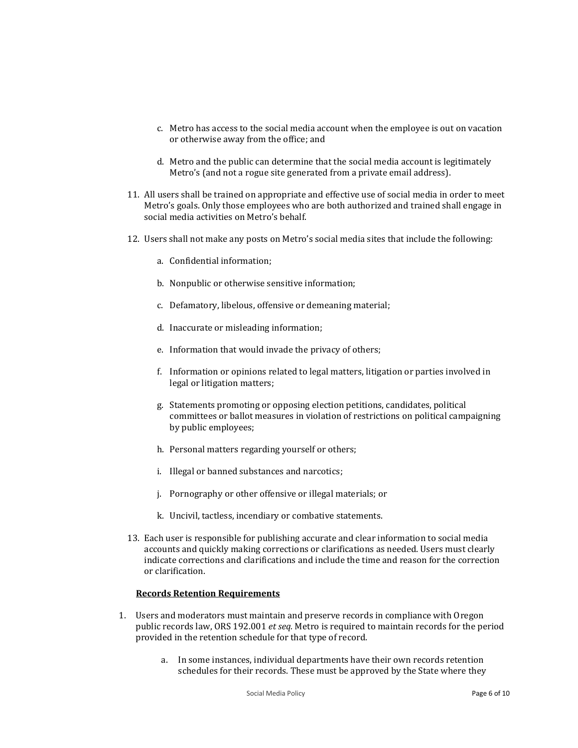- c. Metro has access to the social media account when the employee is out on vacation or otherwise away from the office; and
- d. Metro and the public can determine that the social media account is legitimately Metro's (and not a rogue site generated from a private email address).
- 11. All users shall be trained on appropriate and effective use of social media in order to meet Metro's goals. Only those employees who are both authorized and trained shall engage in social media activities on Metro's behalf.
- 12. Users shall not make any posts on Metro's social media sites that include the following:
	- a. Confidential information;
	- b. Nonpublic or otherwise sensitive information;
	- c. Defamatory, libelous, offensive or demeaning material;
	- d. Inaccurate or misleading information;
	- e. Information that would invade the privacy of others;
	- f. Information or opinions related to legal matters, litigation or parties involved in legal or litigation matters;
	- g. Statements promoting or opposing election petitions, candidates, political committees or ballot measures in violation of restrictions on political campaigning by public employees;
	- h. Personal matters regarding yourself or others;
	- i. Illegal or banned substances and narcotics;
	- j. Pornography or other offensive or illegal materials; or
	- k. Uncivil, tactless, incendiary or combative statements.
- 13. Each user is responsible for publishing accurate and clear information to social media accounts and quickly making corrections or clarifications as needed. Users must clearly indicate corrections and clarifications and include the time and reason for the correction or clarification.

#### **Records Retention Requirements**

- 1. Users and moderators must maintain and preserve records in compliance with Oregon public records law, ORS 192.001 *et seq.* Metro is required to maintain records for the period provided in the retention schedule for that type of record.
	- a. In some instances, individual departments have their own records retention schedules for their records. These must be approved by the State where they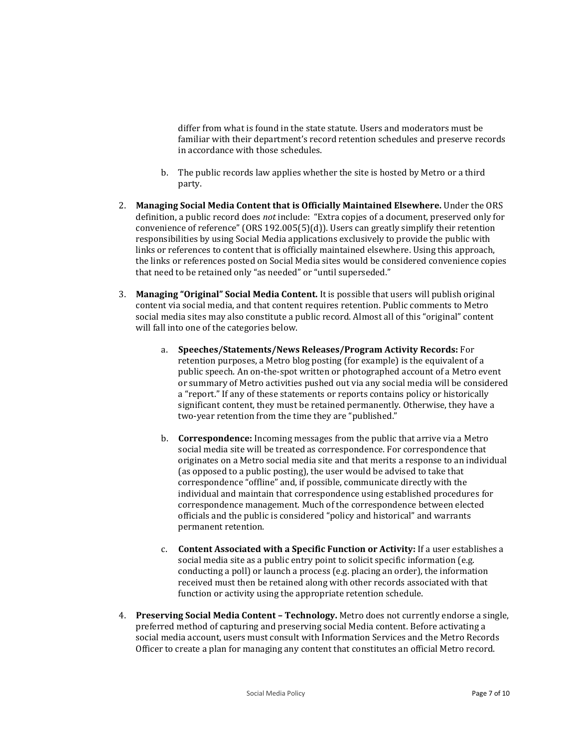differ from what is found in the state statute. Users and moderators must be familiar with their department's record retention schedules and preserve records in accordance with those schedules.

- b. The public records law applies whether the site is hosted by Metro or a third party.
- 2. **Managing Social Media Content that is Officially Maintained Elsewhere.** Under the ORS definition, a public record does *not* include: "Extra copies of a document, preserved only for convenience of reference" (ORS 192.005(5)(d)). Users can greatly simplify their retention responsibilities by using Social Media applications exclusively to provide the public with links or references to content that is officially maintained elsewhere. Using this approach, the links or references posted on Social Media sites would be considered convenience copies that need to be retained only "as needed" or "until superseded."
- 3. **Managing "Original" Social Media Content.** It is possible that users will publish original content via social media, and that content requires retention. Public comments to Metro social media sites may also constitute a public record. Almost all of this "original" content will fall into one of the categories below.
	- a. **Speeches/Statements/News Releases/Program Activity Records:** For retention purposes, a Metro blog posting (for example) is the equivalent of a public speech. An on-the-spot written or photographed account of a Metro event or summary of Metro activities pushed out via any social media will be considered a "report." If any of these statements or reports contains policy or historically significant content, they must be retained permanently. Otherwise, they have a two-year retention from the time they are "published."
	- b. **Correspondence:** Incoming messages from the public that arrive via a Metro social media site will be treated as correspondence. For correspondence that originates on a Metro social media site and that merits a response to an individual (as opposed to a public posting), the user would be advised to take that correspondence "offline" and, if possible, communicate directly with the individual and maintain that correspondence using established procedures for correspondence management. Much of the correspondence between elected officials and the public is considered "policy and historical" and warrants permanent retention.
	- c. **Content Associated with a Specific Function or Activity:** If a user establishes a social media site as a public entry point to solicit specific information (e.g. conducting a poll) or launch a process (e.g. placing an order), the information received must then be retained along with other records associated with that function or activity using the appropriate retention schedule.
- 4. **Preserving Social Media Content – Technology.** Metro does not currently endorse a single, preferred method of capturing and preserving social Media content. Before activating a social media account, users must consult with Information Services and the Metro Records Officer to create a plan for managing any content that constitutes an official Metro record.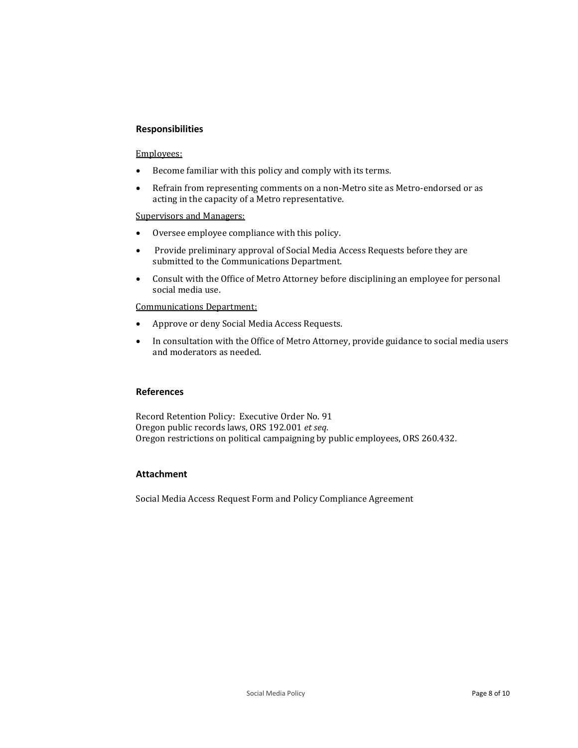# **Responsibilities**

#### Employees:

- Become familiar with this policy and comply with its terms.
- Refrain from representing comments on a non-Metro site as Metro-endorsed or as acting in the capacity of a Metro representative.

#### Supervisors and Managers:

- Oversee employee compliance with this policy.
- Provide preliminary approval of Social Media Access Requests before they are submitted to the Communications Department.
- Consult with the Office of Metro Attorney before disciplining an employee for personal social media use.

Communications Department:

- Approve or deny Social Media Access Requests.
- In consultation with the Office of Metro Attorney, provide guidance to social media users and moderators as needed.

## **References**

Record Retention Policy: Executive Order No. 91 Oregon public records laws, ORS 192.001 *et seq.* Oregon restrictions on political campaigning by public employees, ORS 260.432*.*

# **Attachment**

Social Media Access Request Form and Policy Compliance Agreement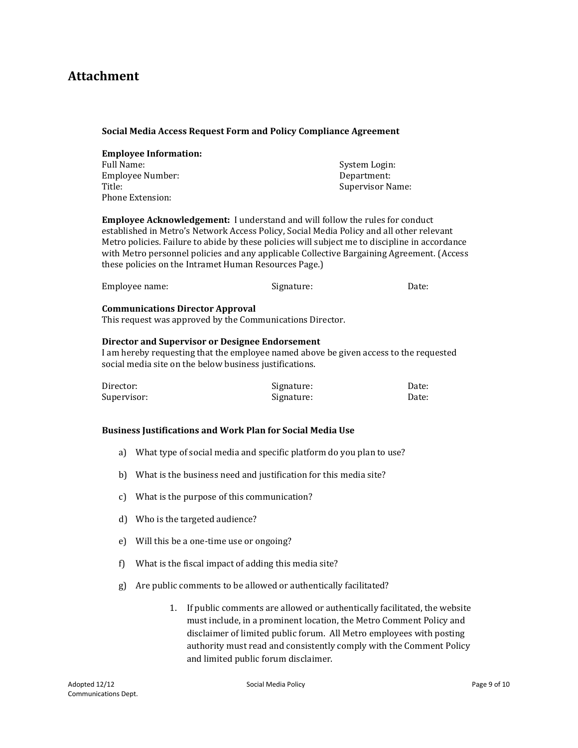# **Attachment**

#### **Social Media Access Request Form and Policy Compliance Agreement**

| <b>Employee Information:</b> |                  |
|------------------------------|------------------|
| Full Name:                   | System Login:    |
| Employee Number:             | Department:      |
| Title:                       | Supervisor Name: |
| Phone Extension:             |                  |

**Employee Acknowledgement:** I understand and will follow the rules for conduct established in Metro's Network Access Policy, Social Media Policy and all other relevant Metro policies. Failure to abide by these policies will subject me to discipline in accordance with Metro personnel policies and any applicable Collective Bargaining Agreement. (Access these policies on the Intramet Human Resources Page.)

| Employee name: | Signature: | Date: |
|----------------|------------|-------|
|----------------|------------|-------|

#### **Communications Director Approval**

This request was approved by the Communications Director.

#### **Director and Supervisor or Designee Endorsement**

I am hereby requesting that the employee named above be given access to the requested social media site on the below business justifications.

| Director:   | Signature: | Date: |
|-------------|------------|-------|
| Supervisor: | Signature: | Date: |

## **Business Justifications and Work Plan for Social Media Use**

- a) What type of social media and specific platform do you plan to use?
- b) What is the business need and justification for this media site?
- c) What is the purpose of this communication?
- d) Who is the targeted audience?
- e) Will this be a one-time use or ongoing?
- f) What is the fiscal impact of adding this media site?
- g) Are public comments to be allowed or authentically facilitated?
	- 1. If public comments are allowed or authentically facilitated, the website must include, in a prominent location, the Metro Comment Policy and disclaimer of limited public forum. All Metro employees with posting authority must read and consistently comply with the Comment Policy and limited public forum disclaimer.